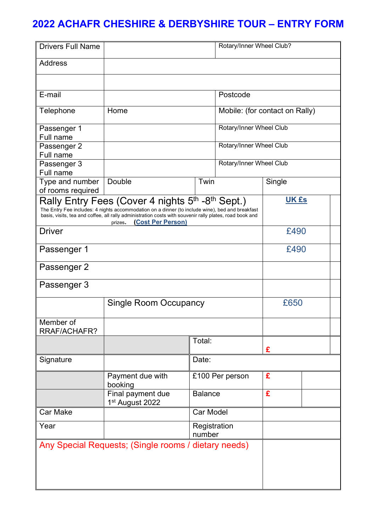## **2022 ACHAFR CHESHIRE & DERBYSHIRE TOUR – ENTRY FORM**

| <b>Drivers Full Name</b>                                                                                                                                                                                                                                                                       |                                      |                                | Rotary/Inner Wheel Club? |                         |  |  |
|------------------------------------------------------------------------------------------------------------------------------------------------------------------------------------------------------------------------------------------------------------------------------------------------|--------------------------------------|--------------------------------|--------------------------|-------------------------|--|--|
| Address                                                                                                                                                                                                                                                                                        |                                      |                                |                          |                         |  |  |
|                                                                                                                                                                                                                                                                                                |                                      |                                |                          |                         |  |  |
| E-mail                                                                                                                                                                                                                                                                                         |                                      | Postcode                       |                          |                         |  |  |
| Telephone                                                                                                                                                                                                                                                                                      | Home                                 | Mobile: (for contact on Rally) |                          |                         |  |  |
| Passenger 1                                                                                                                                                                                                                                                                                    |                                      |                                |                          | Rotary/Inner Wheel Club |  |  |
| Full name                                                                                                                                                                                                                                                                                      |                                      |                                |                          |                         |  |  |
| Passenger 2                                                                                                                                                                                                                                                                                    | Rotary/Inner Wheel Club              |                                |                          |                         |  |  |
| Full name                                                                                                                                                                                                                                                                                      |                                      |                                |                          |                         |  |  |
| Passenger 3                                                                                                                                                                                                                                                                                    |                                      | Rotary/Inner Wheel Club        |                          |                         |  |  |
| Full name                                                                                                                                                                                                                                                                                      |                                      |                                |                          |                         |  |  |
| Type and number                                                                                                                                                                                                                                                                                | Double                               | Twin                           |                          | Single                  |  |  |
| of rooms required                                                                                                                                                                                                                                                                              |                                      |                                |                          |                         |  |  |
| Rally Entry Fees (Cover 4 nights 5th -8th Sept.)<br>The Entry Fee includes: 4 nights accommodation on a dinner (to include wine), bed and breakfast<br>basis, visits, tea and coffee, all rally administration costs with souvenir rally plates, road book and<br>(Cost Per Person)<br>prizes. |                                      |                                |                          | <b>UK £s</b>            |  |  |
| Driver                                                                                                                                                                                                                                                                                         |                                      |                                |                          | £490                    |  |  |
| Passenger 1                                                                                                                                                                                                                                                                                    |                                      |                                |                          | £490                    |  |  |
| Passenger 2                                                                                                                                                                                                                                                                                    |                                      |                                |                          |                         |  |  |
| Passenger 3                                                                                                                                                                                                                                                                                    |                                      |                                |                          |                         |  |  |
|                                                                                                                                                                                                                                                                                                | <b>Single Room Occupancy</b>         |                                |                          | £650                    |  |  |
| Member of<br>RRAF/ACHAFR?                                                                                                                                                                                                                                                                      |                                      |                                |                          |                         |  |  |
|                                                                                                                                                                                                                                                                                                |                                      | Total:                         |                          | £                       |  |  |
| Signature                                                                                                                                                                                                                                                                                      |                                      | Date:                          |                          |                         |  |  |
|                                                                                                                                                                                                                                                                                                | Payment due with<br>booking          | £100 Per person                |                          | £                       |  |  |
|                                                                                                                                                                                                                                                                                                | Final payment due<br>1st August 2022 | <b>Balance</b>                 |                          | £                       |  |  |
| <b>Car Make</b>                                                                                                                                                                                                                                                                                |                                      | <b>Car Model</b>               |                          |                         |  |  |
| Year                                                                                                                                                                                                                                                                                           |                                      | Registration<br>number         |                          |                         |  |  |
| Any Special Requests; (Single rooms / dietary needs)                                                                                                                                                                                                                                           |                                      |                                |                          |                         |  |  |